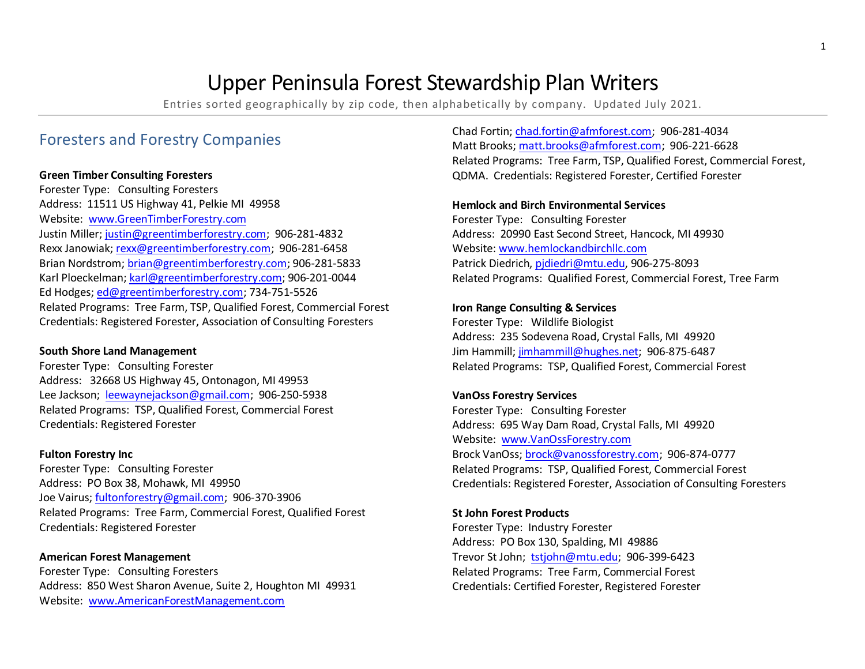# Upper Peninsula Forest Stewardship Plan Writers

Entries sorted geographically by zip code, then alphabetically by company. Updated July 2021.

# Foresters and Forestry Companies

#### **Green Timber Consulting Foresters**

Website: www.GreenTimberForestry.com Rexx Janowiak; [rexx@greentimberforestry.com;](mailto:rexx@greentimberforestry.com) 906-281-6458 Karl Ploeckelman; <u>karl@greentimberforestry.com</u>; 906-201-0044<br>Ed Hodges; <u>ed@greentimberforestry.com</u>; 734-751-5526 Forester Type: Consulting Foresters Address: 11511 US Highway 41, Pelkie MI 49958 Justin Miller; [justin@greentimberforestry.com;](mailto:justin@greentimberforestry.com) 906-281-4832 Brian Nordstrom[; brian@greentimberforestry.com;](mailto:brian@greentimberforestry.com) 906-281-5833 Related Programs: Tree Farm, TSP, Qualified Forest, Commercial Forest Credentials: Registered Forester, Association of Consulting Foresters

### **South Shore Land Management**

 Address: 32668 US Highway 45, Ontonagon, MI 49953 Lee Jackson; [leewaynejackson@gmail.com;](mailto:leewaynejackson@gmail.com) 906-250-5938 Forester Type: Consulting Forester Related Programs: TSP, Qualified Forest, Commercial Forest Credentials: Registered Forester

### **Fulton Forestry Inc**

 Address: PO Box 38, Mohawk, MI 49950 Forester Type: Consulting Forester Joe Vairus[; fultonforestry@gmail.com;](mailto:fultonforestry@gmail.com) 906-370-3906 Related Programs: Tree Farm, Commercial Forest, Qualified Forest Credentials: Registered Forester

### **American Forest Management**

 Address: 850 West Sharon Avenue, Suite 2, Houghton MI 49931 Website: www.AmericanForestManagement.com Forester Type: Consulting Foresters

Matt Brooks[; matt.brooks@afmforest.com;](mailto:matt.brooks@afmforest.com) 906-221-6628 QDMA. Credentials: Registered Forester, Certified Forester Chad Fortin[; chad.fortin@afmforest.com;](mailto:chad.fortin@afmforest.com) 906-281-4034 Related Programs: Tree Farm, TSP, Qualified Forest, Commercial Forest,

#### **Hemlock and Birch Environmental Services**

 Forester Type: Consulting Forester Address: 20990 East Second Street, Hancock, MI 49930 Website[: www.hemlockandbirchllc.com](http://www.hemlockandbirchllc.com/)  Patrick Diedrich[, pjdiedri@mtu.edu,](mailto:pjdiedri@mtu.edu) 906-275-8093 Related Programs: Qualified Forest, Commercial Forest, Tree Farm

#### **Iron Range Consulting & Services**

 Address: 235 Sodevena Road, Crystal Falls, MI 49920 Jim Hammill; jimhammill@hughes.net; 906-875-6487 Forester Type: Wildlife Biologist Related Programs: TSP, Qualified Forest, Commercial Forest

### **VanOss Forestry Services**

Website: www.VanOssForestry.com Brock VanOss[; brock@vanossforestry.com;](mailto:brock@vanossforestry.com) 906-874-0777 Forester Type: Consulting Forester Address: 695 Way Dam Road, Crystal Falls, MI 49920 Related Programs: TSP, Qualified Forest, Commercial Forest Credentials: Registered Forester, Association of Consulting Foresters

### **St John Forest Products**

 Address: PO Box 130, Spalding, MI 49886 Trevor St John; <u>tstjohn@mtu.edu</u>; 906-399-6423 Forester Type: Industry Forester Related Programs: Tree Farm, Commercial Forest Credentials: Certified Forester, Registered Forester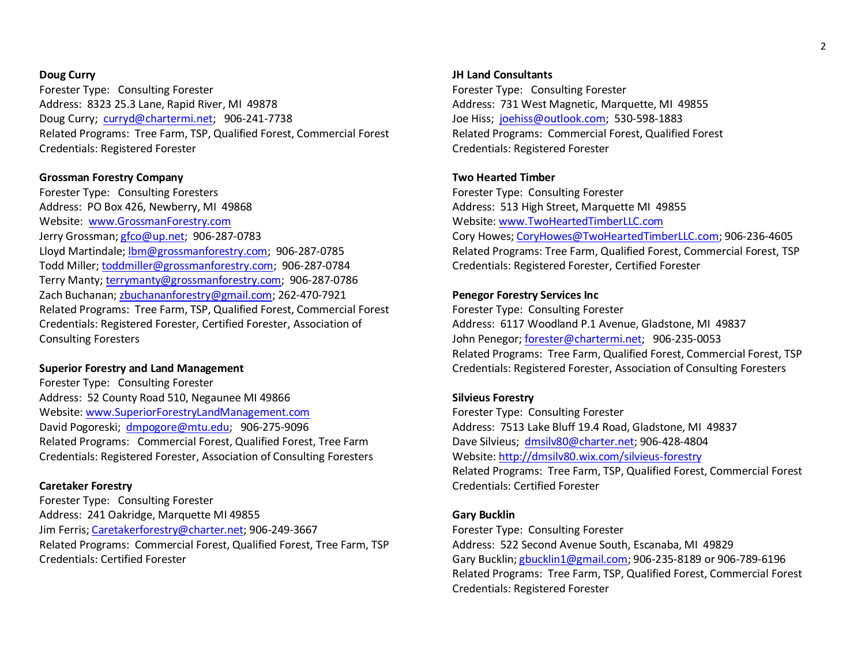#### **Doug Curry**

Doug Curry; [curryd@chartermi.net;](mailto:curryd@chartermi.net) 906-241-7738 Forester Type: Consulting Forester Address: 8323 25.3 Lane, Rapid River, MI 49878 Related Programs: Tree Farm, TSP, Qualified Forest, Commercial Forest Credentials: Registered Forester

#### **Grossman Forestry Company**

 Forester Type: Consulting Foresters Address: PO Box 426, Newberry, MI 49868 Website: www.GrossmanForestry.com Zach Buchanan; [zbuchananforestry@gmail.com;](mailto:zbuchananforestry@gmail.com) 262-470-7921 Jerry Grossman[; gfco@up.net;](mailto:gfco@up.net) 906-287-0783 Lloyd Martindale; [lbm@grossmanforestry.com;](mailto:lbm@grossmanforestry.com) 906-287-0785 Todd Miller; [toddmiller@grossmanforestry.com;](mailto:toddmiller@grossmanforestry.com) 906-287-0784 Terry Manty[; terrymanty@grossmanforestry.com;](mailto:terrymanty@grossmanforestry.com) 906-287-0786 Related Programs: Tree Farm, TSP, Qualified Forest, Commercial Forest Credentials: Registered Forester, Certified Forester, Association of Consulting Foresters

#### **Superior Forestry and Land Management**

David Pogoreski; [dmpogore@mtu.edu;](mailto:dmpogore@mtu.edu) 906-275-9096 Forester Type: Consulting Forester Address: 52 County Road 510, Negaunee MI 49866 Website[: www.SuperiorForestryLandManagement.com](http://www.superiorforestrylandmanagement.com/)  Related Programs: Commercial Forest, Qualified Forest, Tree Farm Credentials: Registered Forester, Association of Consulting Foresters

#### **Caretaker Forestry**

Forester Type: Consulting Forester Address: 241 Oakridge, Marquette MI 49855 Jim Ferris; [Caretakerforestry@charter.net;](mailto:Caretakerforestry@charter.net) 906-249-3667 Related Programs: Commercial Forest, Qualified Forest, Tree Farm, TSP Credentials: Certified Forester

#### **JH Land Consultants**

 Address: 731 West Magnetic, Marquette, MI 49855 Joe Hiss; [joehiss@outlook.com;](mailto:joehiss@outlook.com) 530-598-1883 Forester Type: Consulting Forester Related Programs: Commercial Forest, Qualified Forest Credentials: Registered Forester

#### **Two Hearted Timber**

Forester Type: Consulting Forester Address: 513 High Street, Marquette MI 49855 Website[: www.TwoHeartedTimberLLC.com](http://www.twoheartedtimberllc.com/)  Cory Howes[; CoryHowes@TwoHeartedTimberLLC.com;](mailto:CoryHowes@TwoHeartedTimberLLC.com) 906-236-4605 Related Programs: Tree Farm, Qualified Forest, Commercial Forest, TSP Credentials: Registered Forester, Certified Forester

#### **Penegor Forestry Services Inc**

 Address: 6117 Woodland P.1 Avenue, Gladstone, MI 49837 Forester Type: Consulting Forester John Penegor; [forester@chartermi.net;](mailto:forester@chartermi.net) 906-235-0053 Related Programs: Tree Farm, Qualified Forest, Commercial Forest, TSP Credentials: Registered Forester, Association of Consulting Foresters

#### **Silvieus Forestry**

 Address: 7513 Lake Bluff 19.4 Road, Gladstone, MI 49837 Dave Silvieus; [dmsilv80@charter.net;](mailto:dmsilv80@charter.net) 906-428-4804 Forester Type: Consulting Forester Website[: http://dmsilv80.wix.com/silvieus-forestry](http://dmsilv80.wix.com/silvieus-forestry)  Related Programs: Tree Farm, TSP, Qualified Forest, Commercial Forest Credentials: Certified Forester

#### **Gary Bucklin**

 Address: 522 Second Avenue South, Escanaba, MI 49829 Forester Type: Consulting Forester Gary Bucklin[; gbucklin1@gmail.com;](mailto:gbucklin1@gmail.com) 906-235-8189 or 906-789-6196 Related Programs: Tree Farm, TSP, Qualified Forest, Commercial Forest Credentials: Registered Forester